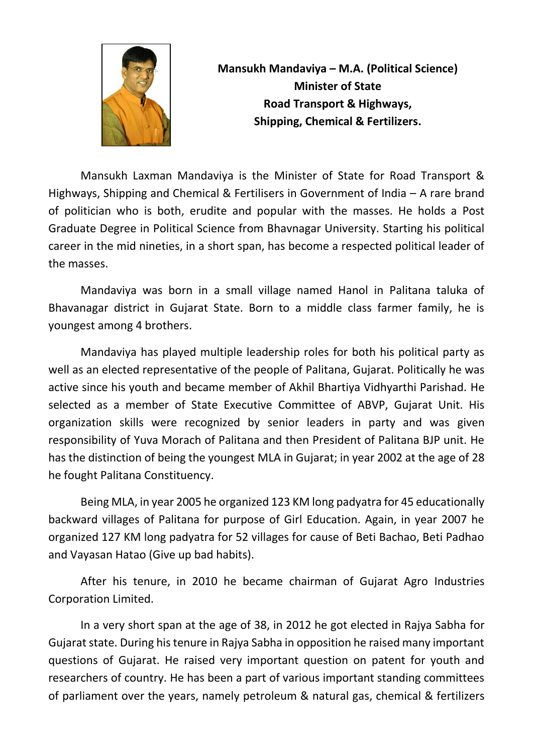

**Mansukh Mandaviya – M.A. (Political Science) Minister of State Road Transport & Highways, Shipping, Chemical & Fertilizers.**

Mansukh Laxman Mandaviya is the Minister of State for Road Transport & Highways, Shipping and Chemical & Fertilisers in Government of India – A rare brand of politician who is both, erudite and popular with the masses. He holds a Post Graduate Degree in Political Science from Bhavnagar University. Starting his political career in the mid nineties, in a short span, has become a respected political leader of the masses.

Mandaviya was born in a small village named Hanol in Palitana taluka of Bhavanagar district in Gujarat State. Born to a middle class farmer family, he is youngest among 4 brothers.

Mandaviya has played multiple leadership roles for both his political party as well as an elected representative of the people of Palitana, Gujarat. Politically he was active since his youth and became member of Akhil Bhartiya Vidhyarthi Parishad. He selected as a member of State Executive Committee of ABVP, Gujarat Unit. His organization skills were recognized by senior leaders in party and was given responsibility of Yuva Morach of Palitana and then President of Palitana BJP unit. He has the distinction of being the youngest MLA in Gujarat; in year 2002 at the age of 28 he fought Palitana Constituency.

Being MLA, in year 2005 he organized 123 KM long padyatra for 45 educationally backward villages of Palitana for purpose of Girl Education. Again, in year 2007 he organized 127 KM long padyatra for 52 villages for cause of Beti Bachao, Beti Padhao and Vayasan Hatao (Give up bad habits).

After his tenure, in 2010 he became chairman of Gujarat Agro Industries Corporation Limited.

In a very short span at the age of 38, in 2012 he got elected in Rajya Sabha for Gujarat state. During his tenure in Rajya Sabha in opposition he raised many important questions of Gujarat. He raised very important question on patent for youth and researchers of country. He has been a part of various important standing committees of parliament over the years, namely petroleum & natural gas, chemical & fertilizers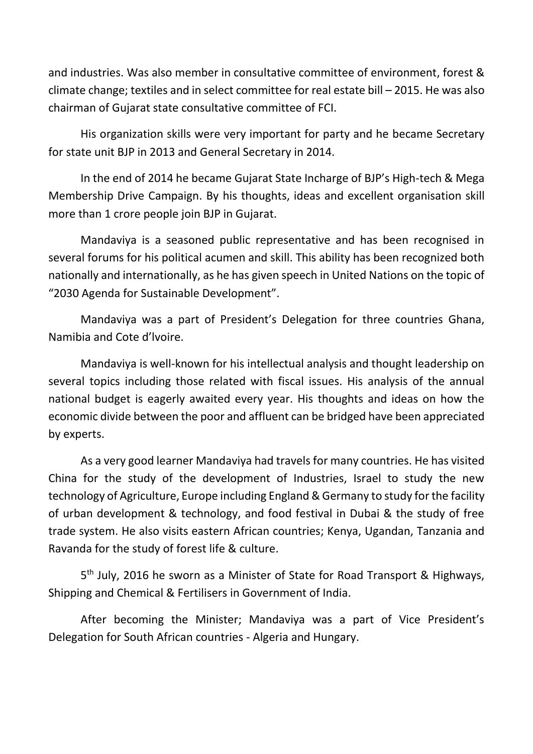and industries. Was also member in consultative committee of environment, forest & climate change; textiles and in select committee for real estate bill – 2015. He was also chairman of Gujarat state consultative committee of FCI.

His organization skills were very important for party and he became Secretary for state unit BJP in 2013 and General Secretary in 2014.

In the end of 2014 he became Gujarat State Incharge of BJP's High-tech & Mega Membership Drive Campaign. By his thoughts, ideas and excellent organisation skill more than 1 crore people join BJP in Gujarat.

Mandaviya is a seasoned public representative and has been recognised in several forums for his political acumen and skill. This ability has been recognized both nationally and internationally, as he has given speech in United Nations on the topic of "2030 Agenda for Sustainable Development".

Mandaviya was a part of President's Delegation for three countries Ghana, Namibia and Cote d'lvoire.

Mandaviya is well-known for his intellectual analysis and thought leadership on several topics including those related with fiscal issues. His analysis of the annual national budget is eagerly awaited every year. His thoughts and ideas on how the economic divide between the poor and affluent can be bridged have been appreciated by experts.

As a very good learner Mandaviya had travels for many countries. He has visited China for the study of the development of Industries, Israel to study the new technology of Agriculture, Europe including England & Germany to study for the facility of urban development & technology, and food festival in Dubai & the study of free trade system. He also visits eastern African countries; Kenya, Ugandan, Tanzania and Ravanda for the study of forest life & culture.

5<sup>th</sup> July, 2016 he sworn as a Minister of State for Road Transport & Highways, Shipping and Chemical & Fertilisers in Government of India.

After becoming the Minister; Mandaviya was a part of Vice President's Delegation for South African countries - Algeria and Hungary.